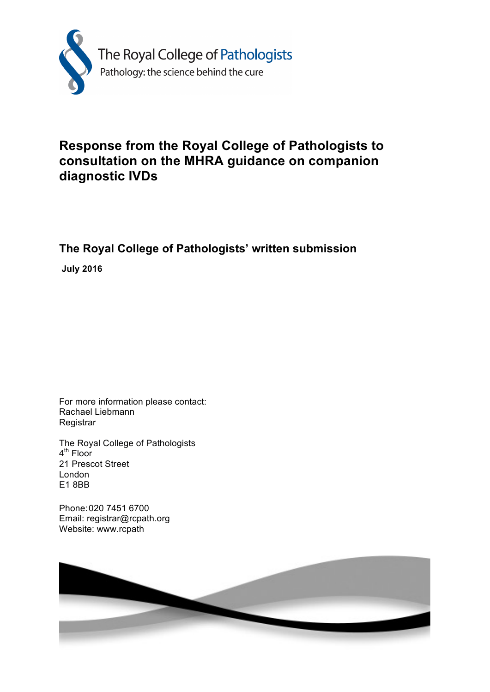

## **Response from the Royal College of Pathologists to consultation on the MHRA guidance on companion diagnostic IVDs**

## **The Royal College of Pathologists' written submission**

**July 2016**

For more information please contact: Rachael Liebmann **Registrar** 

The Royal College of Pathologists 4<sup>th</sup> Floor 21 Prescot Street London E1 8BB

Phone:020 7451 6700 Email: registrar@rcpath.org Website: www.rcpath

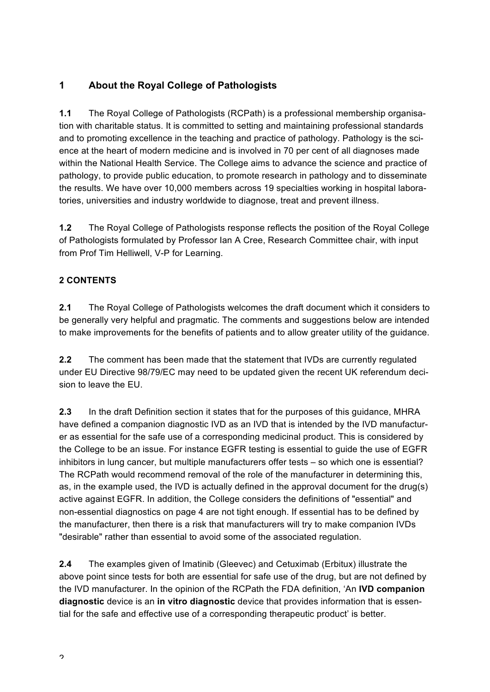## **1 About the Royal College of Pathologists**

**1.1** The Royal College of Pathologists (RCPath) is a professional membership organisation with charitable status. It is committed to setting and maintaining professional standards and to promoting excellence in the teaching and practice of pathology. Pathology is the science at the heart of modern medicine and is involved in 70 per cent of all diagnoses made within the National Health Service. The College aims to advance the science and practice of pathology, to provide public education, to promote research in pathology and to disseminate the results. We have over 10,000 members across 19 specialties working in hospital laboratories, universities and industry worldwide to diagnose, treat and prevent illness.

**1.2** The Royal College of Pathologists response reflects the position of the Royal College of Pathologists formulated by Professor Ian A Cree, Research Committee chair, with input from Prof Tim Helliwell, V-P for Learning.

## **2 CONTENTS**

**2.1** The Royal College of Pathologists welcomes the draft document which it considers to be generally very helpful and pragmatic. The comments and suggestions below are intended to make improvements for the benefits of patients and to allow greater utility of the guidance.

**2.2** The comment has been made that the statement that IVDs are currently regulated under EU Directive 98/79/EC may need to be updated given the recent UK referendum decision to leave the EU.

**2.3** In the draft Definition section it states that for the purposes of this guidance, MHRA have defined a companion diagnostic IVD as an IVD that is intended by the IVD manufacturer as essential for the safe use of a corresponding medicinal product. This is considered by the College to be an issue. For instance EGFR testing is essential to guide the use of EGFR inhibitors in lung cancer, but multiple manufacturers offer tests – so which one is essential? The RCPath would recommend removal of the role of the manufacturer in determining this, as, in the example used, the IVD is actually defined in the approval document for the drug(s) active against EGFR. In addition, the College considers the definitions of "essential" and non-essential diagnostics on page 4 are not tight enough. If essential has to be defined by the manufacturer, then there is a risk that manufacturers will try to make companion IVDs "desirable" rather than essential to avoid some of the associated regulation.

**2.4** The examples given of Imatinib (Gleevec) and Cetuximab (Erbitux) illustrate the above point since tests for both are essential for safe use of the drug, but are not defined by the IVD manufacturer. In the opinion of the RCPath the FDA definition, 'An **IVD companion diagnostic** device is an **in vitro diagnostic** device that provides information that is essential for the safe and effective use of a corresponding therapeutic product' is better.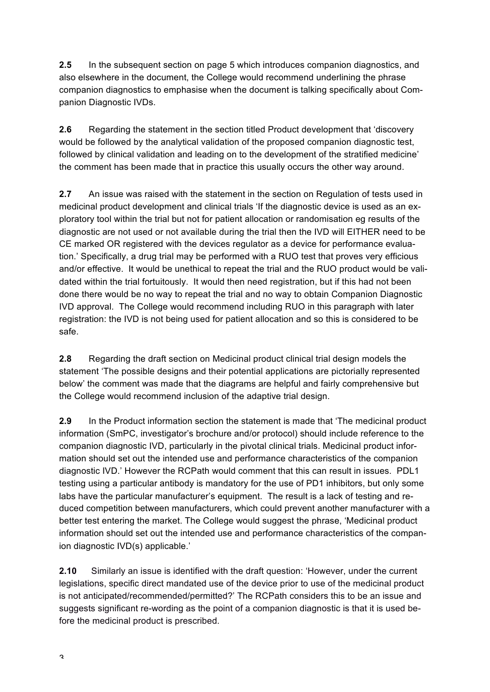**2.5** In the subsequent section on page 5 which introduces companion diagnostics, and also elsewhere in the document, the College would recommend underlining the phrase companion diagnostics to emphasise when the document is talking specifically about Companion Diagnostic IVDs.

**2.6** Regarding the statement in the section titled Product development that 'discovery would be followed by the analytical validation of the proposed companion diagnostic test, followed by clinical validation and leading on to the development of the stratified medicine' the comment has been made that in practice this usually occurs the other way around.

**2.7** An issue was raised with the statement in the section on Regulation of tests used in medicinal product development and clinical trials 'If the diagnostic device is used as an exploratory tool within the trial but not for patient allocation or randomisation eg results of the diagnostic are not used or not available during the trial then the IVD will EITHER need to be CE marked OR registered with the devices regulator as a device for performance evaluation.' Specifically, a drug trial may be performed with a RUO test that proves very efficious and/or effective. It would be unethical to repeat the trial and the RUO product would be validated within the trial fortuitously. It would then need registration, but if this had not been done there would be no way to repeat the trial and no way to obtain Companion Diagnostic IVD approval. The College would recommend including RUO in this paragraph with later registration: the IVD is not being used for patient allocation and so this is considered to be safe.

**2.8** Regarding the draft section on Medicinal product clinical trial design models the statement 'The possible designs and their potential applications are pictorially represented below' the comment was made that the diagrams are helpful and fairly comprehensive but the College would recommend inclusion of the adaptive trial design.

**2.9** In the Product information section the statement is made that 'The medicinal product information (SmPC, investigator's brochure and/or protocol) should include reference to the companion diagnostic IVD, particularly in the pivotal clinical trials. Medicinal product information should set out the intended use and performance characteristics of the companion diagnostic IVD.' However the RCPath would comment that this can result in issues. PDL1 testing using a particular antibody is mandatory for the use of PD1 inhibitors, but only some labs have the particular manufacturer's equipment. The result is a lack of testing and reduced competition between manufacturers, which could prevent another manufacturer with a better test entering the market. The College would suggest the phrase, 'Medicinal product information should set out the intended use and performance characteristics of the companion diagnostic IVD(s) applicable.'

**2.10** Similarly an issue is identified with the draft question: 'However, under the current legislations, specific direct mandated use of the device prior to use of the medicinal product is not anticipated/recommended/permitted?' The RCPath considers this to be an issue and suggests significant re-wording as the point of a companion diagnostic is that it is used before the medicinal product is prescribed.